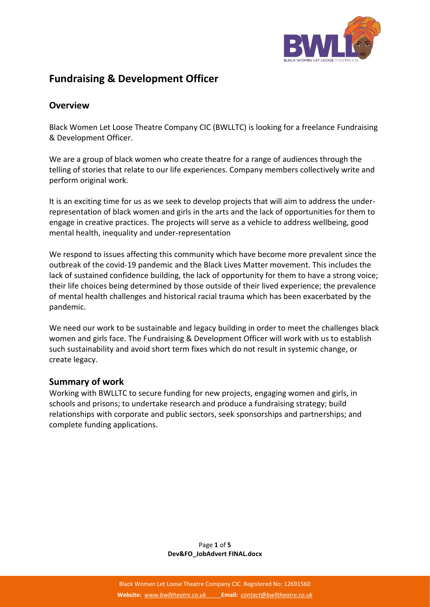

# **Fundraising & Development Officer**

#### **Overview**

Black Women Let Loose Theatre Company CIC (BWLLTC) is looking for a freelance Fundraising & Development Officer.

We are a group of black women who create theatre for a range of audiences through the telling of stories that relate to our life experiences. Company members collectively write and perform original work.

It is an exciting time for us as we seek to develop projects that will aim to address the underrepresentation of black women and girls in the arts and the lack of opportunities for them to engage in creative practices. The projects will serve as a vehicle to address wellbeing, good mental health, inequality and under-representation

We respond to issues affecting this community which have become more prevalent since the outbreak of the covid-19 pandemic and the Black Lives Matter movement. This includes the lack of sustained confidence building, the lack of opportunity for them to have a strong voice; their life choices being determined by those outside of their lived experience; the prevalence of mental health challenges and historical racial trauma which has been exacerbated by the pandemic.

We need our work to be sustainable and legacy building in order to meet the challenges black women and girls face. The Fundraising & Development Officer will work with us to establish such sustainability and avoid short term fixes which do not result in systemic change, or create legacy.

#### **Summary of work**

Working with BWLLTC to secure funding for new projects, engaging women and girls, in schools and prisons; to undertake research and produce a fundraising strategy; build relationships with corporate and public sectors, seek sponsorships and partnerships; and complete funding applications.

> Page **1** of **5 Dev&FO\_JobAdvert FINAL.docx**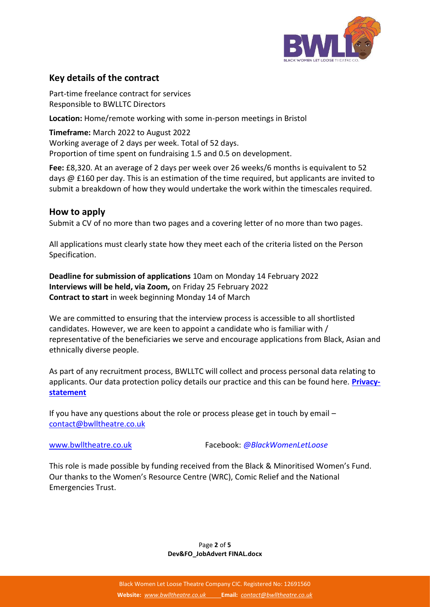

## **Key details of the contract**

Part-time freelance contract for services Responsible to BWLLTC Directors

**Location:** Home/remote working with some in-person meetings in Bristol

**Timeframe:** March 2022 to August 2022 Working average of 2 days per week. Total of 52 days. Proportion of time spent on fundraising 1.5 and 0.5 on development.

**Fee:** £8,320. At an average of 2 days per week over 26 weeks/6 months is equivalent to 52 days @ £160 per day. This is an estimation of the time required, but applicants are invited to submit a breakdown of how they would undertake the work within the timescales required.

#### **How to apply**

Submit a CV of no more than two pages and a covering letter of no more than two pages.

All applications must clearly state how they meet each of the criteria listed on the Person Specification.

**Deadline for submission of applications** 10am on Monday 14 February 2022 **Interviews will be held, via Zoom,** on Friday 25 February 2022 **Contract to start** in week beginning Monday 14 of March

We are committed to ensuring that the interview process is accessible to all shortlisted candidates. However, we are keen to appoint a candidate who is familiar with / representative of the beneficiaries we serve and encourage applications from Black, Asian and ethnically diverse people.

As part of any recruitment process, BWLLTC will collect and process personal data relating to applicants. Our data protection policy details our practice and this can be found here. **[Privacy](https://bwlltheatre.co.uk/privacy-statement/)[statement](https://bwlltheatre.co.uk/privacy-statement/)**

If you have any questions about the role or process please get in touch by email – [contact@bwlltheatre.co.uk](mailto:contact@bwlltheatre.co.uk)

[www.bwlltheatre.co.uk](http://www.bwlltheatre.co.uk/) Facebook: *@BlackWomenLetLoose*

This role is made possible by funding received from the Black & Minoritised Women's Fund. Our thanks to the Women's Resource Centre (WRC), Comic Relief and the National Emergencies Trust.

> Page **2** of **5 Dev&FO\_JobAdvert FINAL.docx**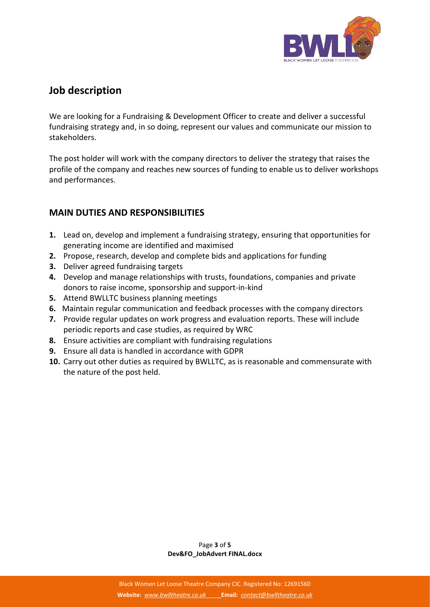

# **Job description**

We are looking for a Fundraising & Development Officer to create and deliver a successful fundraising strategy and, in so doing, represent our values and communicate our mission to stakeholders.

The post holder will work with the company directors to deliver the strategy that raises the profile of the company and reaches new sources of funding to enable us to deliver workshops and performances.

## **MAIN DUTIES AND RESPONSIBILITIES**

- **1.** Lead on, develop and implement a fundraising strategy, ensuring that opportunities for generating income are identified and maximised
- **2.** Propose, research, develop and complete bids and applications for funding
- **3.** Deliver agreed fundraising targets
- **4.** Develop and manage relationships with trusts, foundations, companies and private donors to raise income, sponsorship and support-in-kind
- **5.** Attend BWLLTC business planning meetings
- **6.** Maintain regular communication and feedback processes with the company directors
- **7.** Provide regular updates on work progress and evaluation reports. These will include periodic reports and case studies, as required by WRC
- **8.** Ensure activities are compliant with fundraising regulations
- **9.** Ensure all data is handled in accordance with GDPR
- **10.** Carry out other duties as required by BWLLTC, as is reasonable and commensurate with the nature of the post held.

Page **3** of **5 Dev&FO\_JobAdvert FINAL.docx**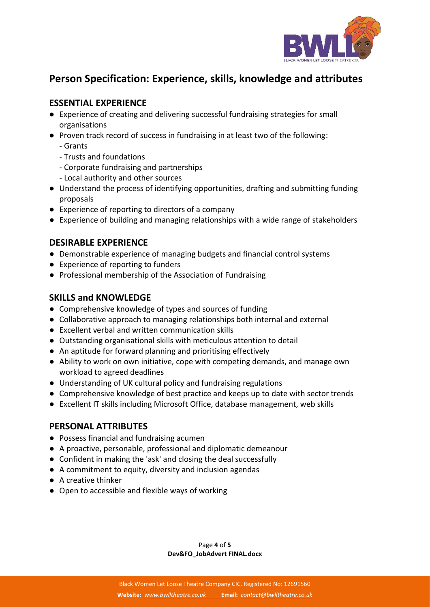

# **Person Specification: Experience, skills, knowledge and attributes**

## **ESSENTIAL EXPERIENCE**

- Experience of creating and delivering successful fundraising strategies for small organisations
- Proven track record of success in fundraising in at least two of the following:
	- Grants
	- Trusts and foundations
	- Corporate fundraising and partnerships
	- Local authority and other sources
- Understand the process of identifying opportunities, drafting and submitting funding proposals
- Experience of reporting to directors of a company
- Experience of building and managing relationships with a wide range of stakeholders

### **DESIRABLE EXPERIENCE**

- Demonstrable experience of managing budgets and financial control systems
- Experience of reporting to funders
- Professional membership of the Association of Fundraising

## **SKILLS and KNOWLEDGE**

- Comprehensive knowledge of types and sources of funding
- Collaborative approach to managing relationships both internal and external
- Excellent verbal and written communication skills
- Outstanding organisational skills with meticulous attention to detail
- An aptitude for forward planning and prioritising effectively
- Ability to work on own initiative, cope with competing demands, and manage own workload to agreed deadlines
- Understanding of UK cultural policy and fundraising regulations
- Comprehensive knowledge of best practice and keeps up to date with sector trends
- Excellent IT skills including Microsoft Office, database management, web skills

## **PERSONAL ATTRIBUTES**

- Possess financial and fundraising acumen
- A proactive, personable, professional and diplomatic demeanour
- Confident in making the 'ask' and closing the deal successfully
- A commitment to equity, diversity and inclusion agendas
- A creative thinker
- Open to accessible and flexible ways of working

Page **4** of **5 Dev&FO\_JobAdvert FINAL.docx**